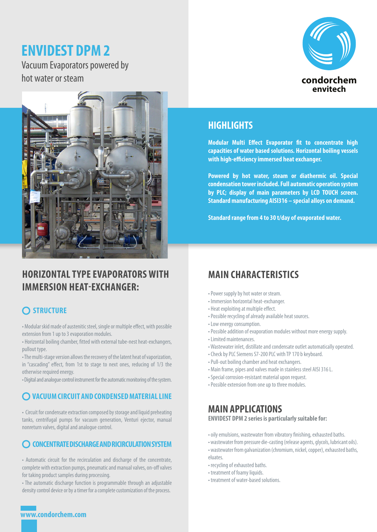# **ENVIDEST DPM 2**

Vacuum Evaporators powered by hot water or steam





# **HORIZONTAL TYPE EVAPORATORS WITH IMMERSION HEAT-EXCHANGER:**

## **O STRUCTURE**

• Modular skid made of austenitic steel, single or multiple effect, with possible extension from 1 up to 3 evaporation modules.

• Horizontal boiling chamber, fitted with external tube-nest heat-exchangers, pullout type.

• The multi-stage version allows the recovery of the latent heat of vaporization, in "cascading" effect, from 1st to stage to next ones, reducing of 1/3 the otherwise required energy.

• Digital and analogue control instrument for the automatic monitoring of the system.

#### **VACUUM CIRCUIT AND CONDENSED MATERIAL LINE**

• Circuit for condensate extraction composed by storage and liquid preheating tanks, centrifugal pumps for vacuum generation, Venturi ejector, manual nonreturn valves, digital and analogue control.

#### **CONCENTRATE DISCHARGE AND RICIRCULATION SYSTEM**

• Automatic circuit for the recirculation and discharge of the concentrate, complete with extraction pumps, pneumatic and manual valves, on-off valves for taking product samples during processing.

• The automatic discharge function is programmable through an adjustable density control device or by a timer for a complete customization of the process.

#### **HIGHLIGHTS**

**Modular Multi Effect Evaporator fit to concentrate high capacities of water based solutions. Horizontal boiling vessels with high-efficiency immersed heat exchanger.**

**Powered by hot water, steam or diathermic oil. Special condensation tower included. Full automatic operation system by PLC; display of main parameters by LCD TOUCH screen. Standard manufacturing AISI316 – special alloys on demand.**

**Standard range from 4 to 30 t/day of evaporated water.**

## **MAIN CHARACTERISTICS**

- Power supply by hot water or steam.
- Immersion horizontal heat-exchanger.
- Heat exploiting at multiple effect.
- Possible recycling of already available heat sources.
- Low energy consumption.
- Possible addition of evaporation modules without more energy supply.
- Limited maintenances.
- Wastewater inlet, distillate and condensate outlet automatically operated.
- Check by PLC Siemens S7-200 PLC with TP 170 b keyboard.
- Pull-out boiling chamber and heat exchangers.
- Main frame, pipes and valves made in stainless steel AISI 316 L.
- Special corrosion-resistant material upon request.
- Possible extension from one up to three modules.

#### **MAIN APPLICATIONS**

**ENVIDEST DPM 2 series is particularly suitable for:**

- oily emulsions, wastewater from vibratory finishing, exhausted baths.
- wastewater from pressure die-casting (release agents, glycols, lubricant oils).
	- wastewater from galvanization (chromium, nickel, copper), exhausted baths, eluates.
	- recycling of exhausted baths.
	- treatment of foamy liquids.
	- treatment of water-based solutions.